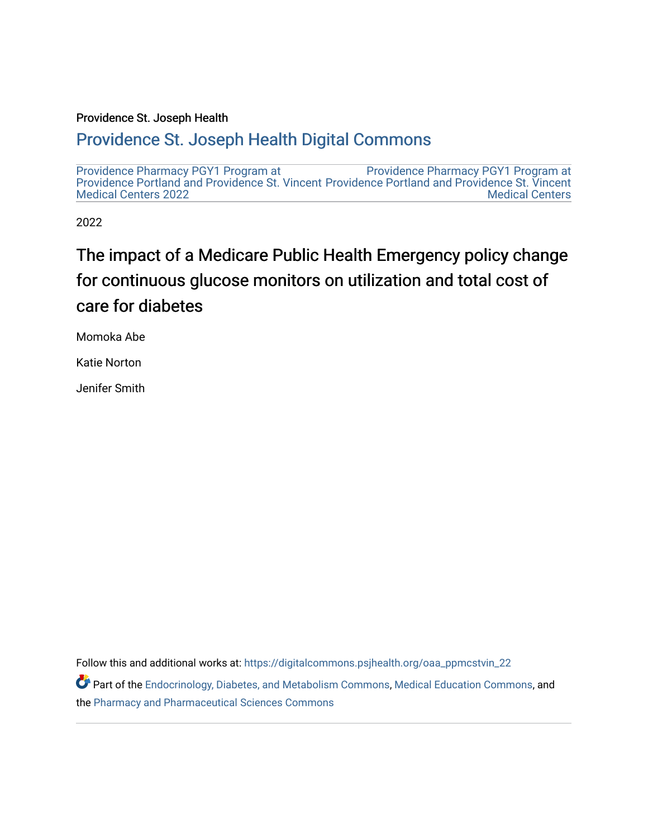#### Providence St. Joseph Health

#### [Providence St. Joseph Health Digital Commons](https://digitalcommons.psjhealth.org/)

[Providence Pharmacy PGY1 Program at](https://digitalcommons.psjhealth.org/oaa_ppmcstvin_22)  [Providence Portland and Providence St. Vincent](https://digitalcommons.psjhealth.org/oaa_ppmcstvin_22) [Medical Centers 2022](https://digitalcommons.psjhealth.org/oaa_ppmcstvin_22)  [Providence Pharmacy PGY1 Program at](https://digitalcommons.psjhealth.org/oaa_ppmcstvin)  [Providence Portland and Providence St. Vincent](https://digitalcommons.psjhealth.org/oaa_ppmcstvin)  [Medical Centers](https://digitalcommons.psjhealth.org/oaa_ppmcstvin) 

2022

#### The impact of a Medicare Public Health Emergency policy change for continuous glucose monitors on utilization and total cost of care for diabetes

Momoka Abe

Katie Norton

Jenifer Smith

Follow this and additional works at: [https://digitalcommons.psjhealth.org/oaa\\_ppmcstvin\\_22](https://digitalcommons.psjhealth.org/oaa_ppmcstvin_22?utm_source=digitalcommons.psjhealth.org%2Foaa_ppmcstvin_22%2F17&utm_medium=PDF&utm_campaign=PDFCoverPages)

Part of the [Endocrinology, Diabetes, and Metabolism Commons](https://network.bepress.com/hgg/discipline/686?utm_source=digitalcommons.psjhealth.org%2Foaa_ppmcstvin_22%2F17&utm_medium=PDF&utm_campaign=PDFCoverPages), [Medical Education Commons](https://network.bepress.com/hgg/discipline/1125?utm_source=digitalcommons.psjhealth.org%2Foaa_ppmcstvin_22%2F17&utm_medium=PDF&utm_campaign=PDFCoverPages), and the [Pharmacy and Pharmaceutical Sciences Commons](https://network.bepress.com/hgg/discipline/731?utm_source=digitalcommons.psjhealth.org%2Foaa_ppmcstvin_22%2F17&utm_medium=PDF&utm_campaign=PDFCoverPages)